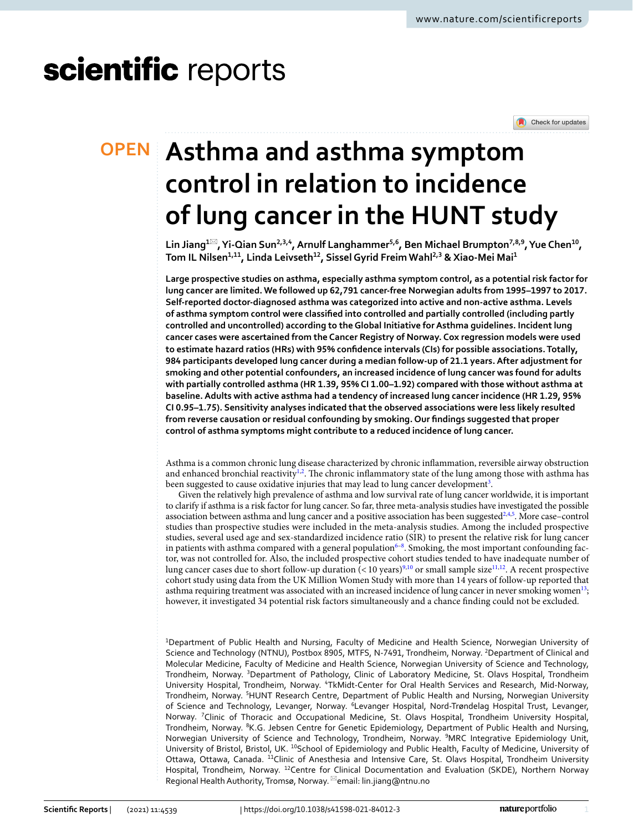# scientific reports

Check for updates

## **Asthma and asthma symptom OPEN control in relation to incidence of lung cancer in the HUNT study**

**Lin Jiang1**\***, Yi‑Qian Sun2,3,4, Arnulf Langhammer5,6, Ben Michael Brumpton7,8,9, Yue Chen10, Tom IL Nilsen1,11, Linda Leivseth12, SisselGyrid FreimWahl2,3 & Xiao‑Mei Mai1**

**Large prospective studies on asthma, especially asthma symptom control, as a potential risk factor for lung cancer are limited. We followed up 62,791 cancer-free Norwegian adults from 1995–1997 to 2017. Self-reported doctor-diagnosed asthma was categorized into active and non-active asthma. Levels of asthma symptom control were classifed into controlled and partially controlled (including partly controlled and uncontrolled) according to the Global Initiative for Asthma guidelines. Incident lung cancer cases were ascertained from the Cancer Registry of Norway. Cox regression models were used to estimate hazard ratios (HRs) with 95% confdence intervals (CIs) for possible associations. Totally, 984 participants developed lung cancer during a median follow-up of 21.1 years. After adjustment for smoking and other potential confounders, an increased incidence of lung cancer was found for adults with partially controlled asthma (HR 1.39, 95% CI 1.00–1.92) compared with those without asthma at baseline. Adults with active asthma had a tendency of increased lung cancer incidence (HR 1.29, 95% CI 0.95–1.75). Sensitivity analyses indicated that the observed associations were less likely resulted from reverse causation or residual confounding by smoking. Our fndings suggested that proper control of asthma symptoms might contribute to a reduced incidence of lung cancer.**

Asthma is a common chronic lung disease characterized by chronic infammation, reversible airway obstruction and enhanced bronchial reactivity $l^2$ . The chronic inflammatory state of the lung among those with asthma has been suggested to cause oxidative injuries that may lead to lung cancer development<sup>[3](#page-6-2)</sup>.

Given the relatively high prevalence of asthma and low survival rate of lung cancer worldwide, it is important to clarify if asthma is a risk factor for lung cancer. So far, three meta-analysis studies have investigated the possible association between asthma and lung cancer and a positive association has been suggested<sup>2[,4](#page-6-3)[,5](#page-6-4)</sup>. More case–control studies than prospective studies were included in the meta-analysis studies. Among the included prospective studies, several used age and sex-standardized incidence ratio (SIR) to present the relative risk for lung cancer in patients with asthma compared with a general population $6-8$  $6-8$ . Smoking, the most important confounding factor, was not controlled for. Also, the included prospective cohort studies tended to have inadequate number of lung cancer cases due to short follow-up duration (<10 years)<sup>[9,](#page-6-7)10</sup> or small sample size<sup>[11,](#page-6-9)12</sup>. A recent prospective cohort study using data from the UK Million Women Study with more than 14 years of follow-up reported that asthma requiring treatment was associated with an increased incidence of lung cancer in never smoking women<sup>[13](#page-6-11)</sup>; however, it investigated 34 potential risk factors simultaneously and a chance fnding could not be excluded.

1 Department of Public Health and Nursing, Faculty of Medicine and Health Science, Norwegian University of Science and Technology (NTNU), Postbox 8905, MTFS, N-7491, Trondheim, Norway. <sup>2</sup>Department of Clinical and Molecular Medicine, Faculty of Medicine and Health Science, Norwegian University of Science and Technology, Trondheim, Norway. <sup>3</sup>Department of Pathology, Clinic of Laboratory Medicine, St. Olavs Hospital, Trondheim University Hospital, Trondheim, Norway. <sup>4</sup>TkMidt-Center for Oral Health Services and Research, Mid-Norway, Trondheim, Norway. <sup>5</sup>HUNT Research Centre, Department of Public Health and Nursing, Norwegian University of Science and Technology, Levanger, Norway. <sup>6</sup>Levanger Hospital, Nord-Trøndelag Hospital Trust, Levanger, Norway. <sup>7</sup>Clinic of Thoracic and Occupational Medicine, St. Olavs Hospital, Trondheim University Hospital, Trondheim, Norway. <sup>8</sup>K.G. Jebsen Centre for Genetic Epidemiology, Department of Public Health and Nursing, Norwegian University of Science and Technology, Trondheim, Norway. <sup>9</sup>MRC Integrative Epidemiology Unit, University of Bristol, Bristol, UK. <sup>10</sup>School of Epidemiology and Public Health, Faculty of Medicine, University of Ottawa, Ottawa, Canada. <sup>11</sup>Clinic of Anesthesia and Intensive Care, St. Olavs Hospital, Trondheim University Hospital, Trondheim, Norway. <sup>12</sup>Centre for Clinical Documentation and Evaluation (SKDE), Northern Norway Regional Health Authority, Tromsø, Norway. <sup>⊠</sup>email: lin.jiang@ntnu.no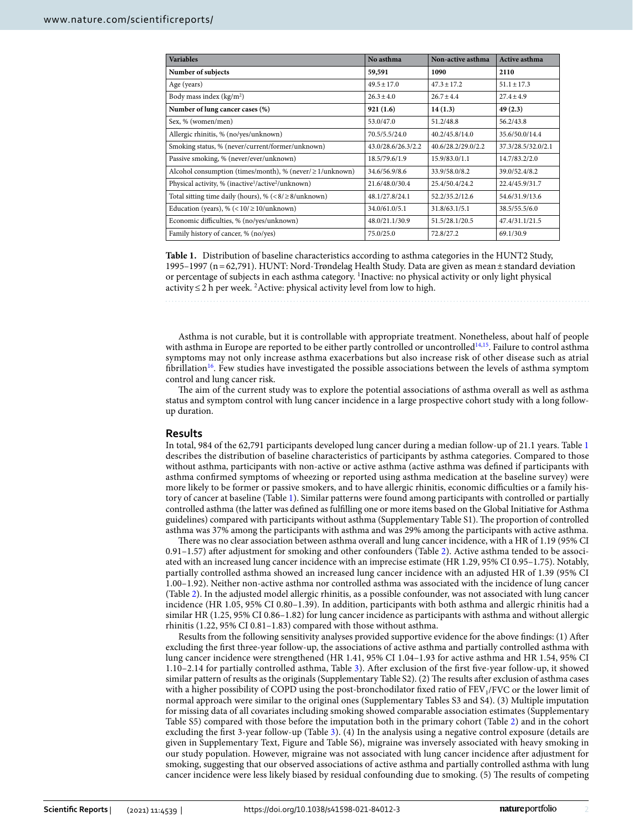| <b>Variables</b>                                                           | No asthma          | Non-active asthma  | <b>Active asthma</b> |  |
|----------------------------------------------------------------------------|--------------------|--------------------|----------------------|--|
| Number of subjects                                                         | 59,591             | 1090               | 2110                 |  |
| Age (years)                                                                | $49.5 \pm 17.0$    | $47.3 \pm 17.2$    | $51.1 \pm 17.3$      |  |
| Body mass index $(kg/m2)$                                                  | $26.3 \pm 4.0$     | $26.7 \pm 4.4$     | $27.4 \pm 4.9$       |  |
| Number of lung cancer cases (%)                                            | 921(1.6)           | 14(1.3)            | 49(2.3)              |  |
| Sex, % (women/men)                                                         | 53.0/47.0          | 51.2/48.8          | 56.2/43.8            |  |
| Allergic rhinitis, % (no/yes/unknown)                                      | 70.5/5.5/24.0      | 40.2/45.8/14.0     | 35.6/50.0/14.4       |  |
| Smoking status, % (never/current/former/unknown)                           | 43.0/28.6/26.3/2.2 | 40.6/28.2/29.0/2.2 | 37.3/28.5/32.0/2.1   |  |
| Passive smoking, % (never/ever/unknown)                                    | 18.5/79.6/1.9      | 15.9/83.0/1.1      | 14.7/83.2/2.0        |  |
| Alcohol consumption (times/month), % (never/ $\geq$ 1/unknown)             | 34.6/56.9/8.6      | 33.9/58.0/8.2      | 39.0/52.4/8.2        |  |
| Physical activity, % (inactive <sup>1</sup> /active <sup>2</sup> /unknown) | 21.6/48.0/30.4     | 25.4/50.4/24.2     | 22.4/45.9/31.7       |  |
| Total sitting time daily (hours), % $\leq 8/28$ /unknown)                  | 48.1/27.8/24.1     | 52.2/35.2/12.6     | 54.6/31.9/13.6       |  |
| Education (years), % $(< 10 / \ge 10 /$ unknown)                           | 34.0/61.0/5.1      | 31.8/63.1/5.1      | 38.5/55.5/6.0        |  |
| Economic difficulties, % (no/yes/unknown)                                  | 48.0/21.1/30.9     | 51.5/28.1/20.5     | 47.4/31.1/21.5       |  |
| Family history of cancer, % (no/yes)                                       | 75.0/25.0          | 72.8/27.2          | 69.1/30.9            |  |

<span id="page-1-0"></span>**Table 1.** Distribution of baseline characteristics according to asthma categories in the HUNT2 Study, 1995–1997 (n=62,791). HUNT: Nord-Trøndelag Health Study. Data are given as mean±standard deviation or percentage of subjects in each asthma category. 1Inactive: no physical activity or only light physical activity≤2 h per week. 2Active: physical activity level from low to high.

Asthma is not curable, but it is controllable with appropriate treatment. Nonetheless, about half of people with asthma in Europe are reported to be either partly controlled or uncontrolled<sup>14,15</sup>. Failure to control asthma symptoms may not only increase asthma exacerbations but also increase risk of other disease such as atrial fibrillation<sup>16</sup>. Few studies have investigated the possible associations between the levels of asthma symptom control and lung cancer risk.

The aim of the current study was to explore the potential associations of asthma overall as well as asthma status and symptom control with lung cancer incidence in a large prospective cohort study with a long followup duration.

#### **Results**

In total, 984 of the 62,791 participants developed lung cancer during a median follow-up of 21.1 years. Table [1](#page-1-0) describes the distribution of baseline characteristics of participants by asthma categories. Compared to those without asthma, participants with non-active or active asthma (active asthma was defned if participants with asthma confrmed symptoms of wheezing or reported using asthma medication at the baseline survey) were more likely to be former or passive smokers, and to have allergic rhinitis, economic difficulties or a family history of cancer at baseline (Table [1](#page-1-0)). Similar patterns were found among participants with controlled or partially controlled asthma (the latter was defned as fulflling one or more items based on the Global Initiative for Asthma guidelines) compared with participants without asthma (Supplementary Table S1). The proportion of controlled asthma was 37% among the participants with asthma and was 29% among the participants with active asthma.

There was no clear association between asthma overall and lung cancer incidence, with a HR of 1.19 (95% CI 0.91–1.57) after adjustment for smoking and other confounders (Table [2\)](#page-2-0). Active asthma tended to be associated with an increased lung cancer incidence with an imprecise estimate (HR 1.29, 95% CI 0.95–1.75). Notably, partially controlled asthma showed an increased lung cancer incidence with an adjusted HR of 1.39 (95% CI 1.00–1.92). Neither non-active asthma nor controlled asthma was associated with the incidence of lung cancer (Table [2\)](#page-2-0). In the adjusted model allergic rhinitis, as a possible confounder, was not associated with lung cancer incidence (HR 1.05, 95% CI 0.80–1.39). In addition, participants with both asthma and allergic rhinitis had a similar HR (1.25, 95% CI 0.86–1.82) for lung cancer incidence as participants with asthma and without allergic rhinitis (1.22, 95% CI 0.81–1.83) compared with those without asthma.

Results from the following sensitivity analyses provided supportive evidence for the above fndings: (1) Afer excluding the frst three-year follow-up, the associations of active asthma and partially controlled asthma with lung cancer incidence were strengthened (HR 1.41, 95% CI 1.04–1.93 for active asthma and HR 1.54, 95% CI 1.10–2.14 for partially controlled asthma, Table [3\)](#page-2-1). Afer exclusion of the frst fve-year follow-up, it showed similar pattern of results as the originals (Supplementary Table S2). (2) The results after exclusion of asthma cases with a higher possibility of COPD using the post-bronchodilator fixed ratio of FEV<sub>1</sub>/FVC or the lower limit of normal approach were similar to the original ones (Supplementary Tables S3 and S4). (3) Multiple imputation for missing data of all covariates including smoking showed comparable association estimates (Supplementary Table S5) compared with those before the imputation both in the primary cohort (Table [2\)](#page-2-0) and in the cohort excluding the frst 3-year follow-up (Table [3](#page-2-1)). (4) In the analysis using a negative control exposure (details are given in Supplementary Text, Figure and Table S6), migraine was inversely associated with heavy smoking in our study population. However, migraine was not associated with lung cancer incidence afer adjustment for smoking, suggesting that our observed associations of active asthma and partially controlled asthma with lung cancer incidence were less likely biased by residual confounding due to smoking. (5) The results of competing

2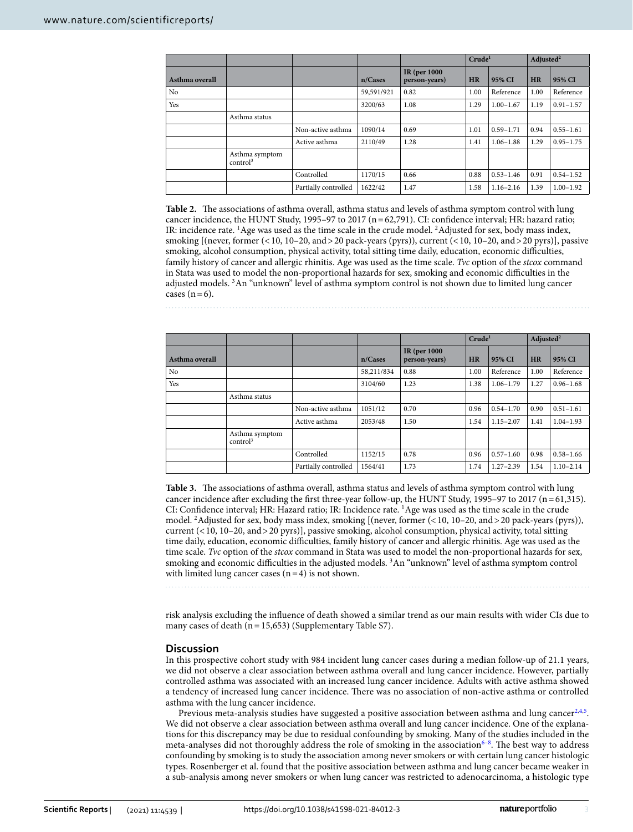|                |                                        |                      |            |                               | Crude <sup>1</sup> |               | Adjusted <sup>2</sup> |               |
|----------------|----------------------------------------|----------------------|------------|-------------------------------|--------------------|---------------|-----------------------|---------------|
| Asthma overall |                                        |                      | n/Cases    | IR (per 1000<br>person-years) | <b>HR</b>          | 95% CI        | <b>HR</b>             | 95% CI        |
| No             |                                        |                      | 59,591/921 | 0.82                          | 1.00               | Reference     | 1.00                  | Reference     |
| Yes            |                                        |                      | 3200/63    | 1.08                          | 1.29               | $1.00 - 1.67$ | 1.19                  | $0.91 - 1.57$ |
|                | Asthma status                          |                      |            |                               |                    |               |                       |               |
|                |                                        | Non-active asthma    | 1090/14    | 0.69                          | 1.01               | $0.59 - 1.71$ | 0.94                  | $0.55 - 1.61$ |
|                |                                        | Active asthma        | 2110/49    | 1.28                          | 1.41               | $1.06 - 1.88$ | 1.29                  | $0.95 - 1.75$ |
|                | Asthma symptom<br>control <sup>3</sup> |                      |            |                               |                    |               |                       |               |
|                |                                        | Controlled           | 1170/15    | 0.66                          | 0.88               | $0.53 - 1.46$ | 0.91                  | $0.54 - 1.52$ |
|                |                                        | Partially controlled | 1622/42    | 1.47                          | 1.58               | $1.16 - 2.16$ | 1.39                  | $1.00 - 1.92$ |

<span id="page-2-0"></span>Table 2. The associations of asthma overall, asthma status and levels of asthma symptom control with lung cancer incidence, the HUNT Study, 1995–97 to 2017 (n=62,791). CI: confdence interval; HR: hazard ratio; IR: incidence rate. 1Age was used as the time scale in the crude model. 2Adjusted for sex, body mass index, smoking  $[(never, former (<10, 10–20, and >20 pack-years (pvrs)), current (<10, 10–20, and >20 prrs)], passive$ smoking, alcohol consumption, physical activity, total sitting time daily, education, economic difficulties, family history of cancer and allergic rhinitis. Age was used as the time scale. *Tvc* option of the *stcox* command in Stata was used to model the non-proportional hazards for sex, smoking and economic difculties in the adjusted models. 3An "unknown" level of asthma symptom control is not shown due to limited lung cancer cases  $(n=6)$ .

**Crude1 Adjusted2 Asthma overall n/Cases IR (per 1000 person-years) HR 95% CI HR 95% CI** No 1.00 Reference 2.00 September 1.00 Reference 1.00 Reference 2.00 Reference Yes 1.38 1.06–1.79 1.27 0.96–1.68 Asthma status Non-active asthma  $1051/12$  0.70 0.96 0.54–1.70 0.90 0.51–1.61 Active asthma 2053/48 1.50 1.54 1.54 1.15–2.07 1.41 1.04–1.93 Asthma symptom control<sup>3</sup>

> Controlled 1152/15 0.78 0.96 0.57–1.60 0.98 0.58–1.66 Partially controlled 1564/41 1.73 1.74 1.27–2.39 1.54 1.10–2.14

<span id="page-2-1"></span>**Table 3.** The associations of asthma overall, asthma status and levels of asthma symptom control with lung cancer incidence afer excluding the frst three-year follow-up, the HUNT Study, 1995–97 to 2017 (n=61,315). CI: Confdence interval; HR: Hazard ratio; IR: Incidence rate. 1Age was used as the time scale in the crude model. 2Adjusted for sex, body mass index, smoking [(never, former (<10, 10–20, and>20 pack-years (pyrs)), current (<10, 10–20, and>20 pyrs)], passive smoking, alcohol consumption, physical activity, total sitting time daily, education, economic difculties, family history of cancer and allergic rhinitis. Age was used as the time scale. *Tvc* option of the *stcox* command in Stata was used to model the non-proportional hazards for sex, smoking and economic difficulties in the adjusted models.<sup>3</sup>An "unknown" level of asthma symptom control with limited lung cancer cases  $(n=4)$  is not shown.

risk analysis excluding the infuence of death showed a similar trend as our main results with wider CIs due to many cases of death  $(n=15,653)$  (Supplementary Table S7).

### **Discussion**

In this prospective cohort study with 984 incident lung cancer cases during a median follow-up of 21.1 years, we did not observe a clear association between asthma overall and lung cancer incidence. However, partially controlled asthma was associated with an increased lung cancer incidence. Adults with active asthma showed a tendency of increased lung cancer incidence. There was no association of non-active asthma or controlled asthma with the lung cancer incidence.

Previous meta-analysis studies have suggested a positive association between asthma and lung cancer<sup>[2,](#page-6-1)[4](#page-6-3)[,5](#page-6-4)</sup>. We did not observe a clear association between asthma overall and lung cancer incidence. One of the explanations for this discrepancy may be due to residual confounding by smoking. Many of the studies included in the meta-analyses did not thoroughly address the role of smoking in the association<sup>6-8</sup>. The best way to address confounding by smoking is to study the association among never smokers or with certain lung cancer histologic types. Rosenberger et al. found that the positive association between asthma and lung cancer became weaker in a sub-analysis among never smokers or when lung cancer was restricted to adenocarcinoma, a histologic type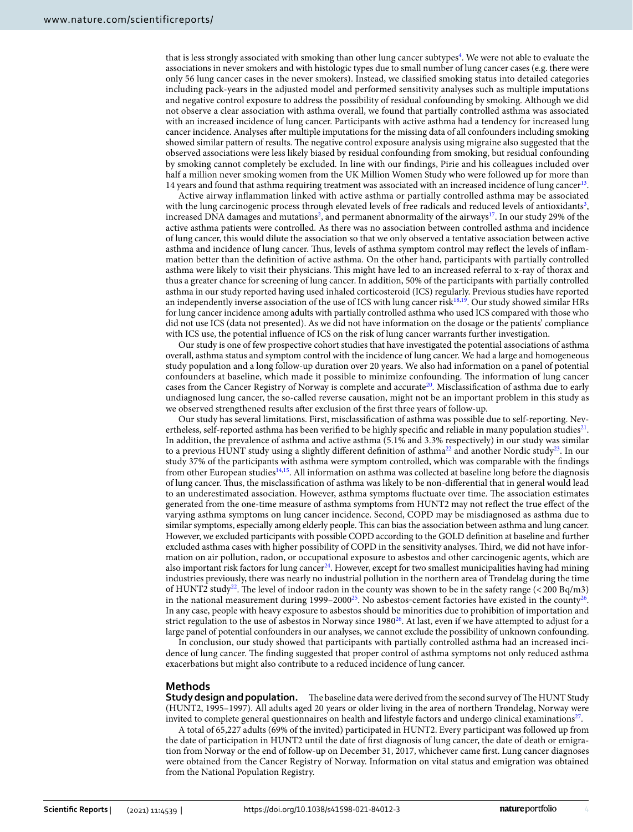that is less strongly associated with smoking than other lung cancer subtypes<sup>[4](#page-6-3)</sup>. We were not able to evaluate the associations in never smokers and with histologic types due to small number of lung cancer cases (e.g. there were only 56 lung cancer cases in the never smokers). Instead, we classifed smoking status into detailed categories including pack-years in the adjusted model and performed sensitivity analyses such as multiple imputations and negative control exposure to address the possibility of residual confounding by smoking. Although we did not observe a clear association with asthma overall, we found that partially controlled asthma was associated with an increased incidence of lung cancer. Participants with active asthma had a tendency for increased lung cancer incidence. Analyses afer multiple imputations for the missing data of all confounders including smoking showed similar pattern of results. The negative control exposure analysis using migraine also suggested that the observed associations were less likely biased by residual confounding from smoking, but residual confounding by smoking cannot completely be excluded. In line with our fndings, Pirie and his colleagues included over half a million never smoking women from the UK Million Women Study who were followed up for more than 14 years and found that asthma requiring treatment was associated with an increased incidence of lung cancer[13](#page-6-11).

Active airway infammation linked with active asthma or partially controlled asthma may be associated with the lung carcinogenic process through elevated levels of free radicals and reduced levels of antioxidants $3$ , increased DNA damages and mutations<sup>2</sup>, and permanent abnormality of the airways<sup>17</sup>. In our study 29% of the active asthma patients were controlled. As there was no association between controlled asthma and incidence of lung cancer, this would dilute the association so that we only observed a tentative association between active asthma and incidence of lung cancer. Tus, levels of asthma symptom control may refect the levels of infammation better than the defnition of active asthma. On the other hand, participants with partially controlled asthma were likely to visit their physicians. Tis might have led to an increased referral to x-ray of thorax and thus a greater chance for screening of lung cancer. In addition, 50% of the participants with partially controlled asthma in our study reported having used inhaled corticosteroid (ICS) regularly. Previous studies have reported an independently inverse association of the use of ICS with lung cancer risk $18,19$  $18,19$  $18,19$ . Our study showed similar HRs for lung cancer incidence among adults with partially controlled asthma who used ICS compared with those who did not use ICS (data not presented). As we did not have information on the dosage or the patients' compliance with ICS use, the potential infuence of ICS on the risk of lung cancer warrants further investigation.

Our study is one of few prospective cohort studies that have investigated the potential associations of asthma overall, asthma status and symptom control with the incidence of lung cancer. We had a large and homogeneous study population and a long follow-up duration over 20 years. We also had information on a panel of potential confounders at baseline, which made it possible to minimize confounding. The information of lung cancer cases from the Cancer Registry of Norway is complete and accurate<sup>20</sup>. Misclassification of asthma due to early undiagnosed lung cancer, the so-called reverse causation, might not be an important problem in this study as we observed strengthened results afer exclusion of the frst three years of follow-up.

Our study has several limitations. First, misclassifcation of asthma was possible due to self-reporting. Nevertheless, self-reported asthma has been verified to be highly specific and reliable in many population studies $^{21}$ . In addition, the prevalence of asthma and active asthma (5.1% and 3.3% respectively) in our study was similar to a previous HUNT study using a slightly different definition of asthma<sup>22</sup> and another Nordic study<sup>23</sup>. In our study 37% of the participants with asthma were symptom controlled, which was comparable with the fndings from other European studies<sup>14,[15](#page-6-13)</sup>. All information on asthma was collected at baseline long before the diagnosis of lung cancer. Tus, the misclassifcation of asthma was likely to be non-diferential that in general would lead to an underestimated association. However, asthma symptoms fluctuate over time. The association estimates generated from the one-time measure of asthma symptoms from HUNT2 may not refect the true efect of the varying asthma symptoms on lung cancer incidence. Second, COPD may be misdiagnosed as asthma due to similar symptoms, especially among elderly people. This can bias the association between asthma and lung cancer. However, we excluded participants with possible COPD according to the GOLD defnition at baseline and further excluded asthma cases with higher possibility of COPD in the sensitivity analyses. Third, we did not have information on air pollution, radon, or occupational exposure to asbestos and other carcinogenic agents, which are also important risk factors for lung cancer<sup>24</sup>. However, except for two smallest municipalities having had mining industries previously, there was nearly no industrial pollution in the northern area of Trøndelag during the time of HUNT2 study<sup>22</sup>. The level of indoor radon in the county was shown to be in the safety range ( $\lt$  200 Bq/m3) in the national measurement during  $1999-2000^{25}$ . No asbestos-cement factories have existed in the county<sup>26</sup>. In any case, people with heavy exposure to asbestos should be minorities due to prohibition of importation and strict regulation to the use of asbestos in Norway since 1980<sup>26</sup>. At last, even if we have attempted to adjust for a large panel of potential confounders in our analyses, we cannot exclude the possibility of unknown confounding.

In conclusion, our study showed that participants with partially controlled asthma had an increased incidence of lung cancer. The finding suggested that proper control of asthma symptoms not only reduced asthma exacerbations but might also contribute to a reduced incidence of lung cancer.

#### **Methods**

**Study design and population.** The baseline data were derived from the second survey of The HUNT Study (HUNT2, 1995–1997). All adults aged 20 years or older living in the area of northern Trøndelag, Norway were invited to complete general questionnaires on health and lifestyle factors and undergo clinical examinations<sup>27</sup>.

A total of 65,227 adults (69% of the invited) participated in HUNT2. Every participant was followed up from the date of participation in HUNT2 until the date of frst diagnosis of lung cancer, the date of death or emigration from Norway or the end of follow-up on December 31, 2017, whichever came frst. Lung cancer diagnoses were obtained from the Cancer Registry of Norway. Information on vital status and emigration was obtained from the National Population Registry.

4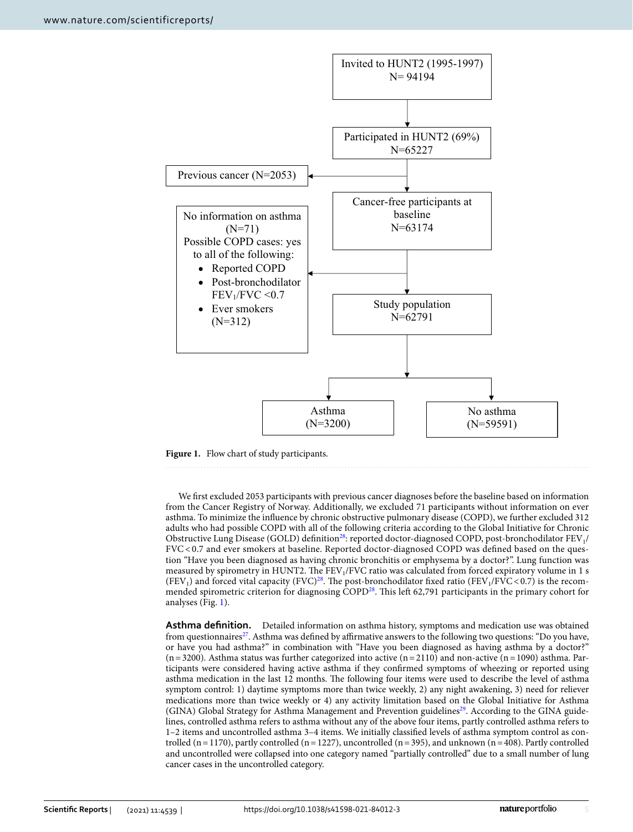

<span id="page-4-0"></span>**Figure 1.** Flow chart of study participants.

We frst excluded 2053 participants with previous cancer diagnoses before the baseline based on information from the Cancer Registry of Norway. Additionally, we excluded 71 participants without information on ever asthma. To minimize the infuence by chronic obstructive pulmonary disease (COPD), we further excluded 312 adults who had possible COPD with all of the following criteria according to the Global Initiative for Chronic Obstructive Lung Disease (GOLD) definition<sup>28</sup>: reported doctor-diagnosed COPD, post-bronchodilator FEV<sub>1</sub>/ FVC< 0.7 and ever smokers at baseline. Reported doctor-diagnosed COPD was defned based on the question "Have you been diagnosed as having chronic bronchitis or emphysema by a doctor?". Lung function was measured by spirometry in HUNT2. The FEV<sub>1</sub>/FVC ratio was calculated from forced expiratory volume in 1 s (FEV<sub>1</sub>) and forced vital capacity (FVC)<sup>28</sup>. The post-bronchodilator fixed ratio (FEV<sub>1</sub>/FVC < 0.7) is the recommended spirometric criterion for diagnosing COPD<sup>28</sup>. This left 62,791 participants in the primary cohort for analyses (Fig. [1\)](#page-4-0).

**Asthma defnition.** Detailed information on asthma history, symptoms and medication use was obtained from questionnaires<sup>27</sup>. Asthma was defined by affirmative answers to the following two questions: "Do you have, or have you had asthma?" in combination with "Have you been diagnosed as having asthma by a doctor?"  $(n=3200)$ . Asthma status was further categorized into active  $(n=2110)$  and non-active  $(n=1090)$  asthma. Participants were considered having active asthma if they confrmed symptoms of wheezing or reported using asthma medication in the last 12 months. The following four items were used to describe the level of asthma symptom control: 1) daytime symptoms more than twice weekly, 2) any night awakening, 3) need for reliever medications more than twice weekly or 4) any activity limitation based on the Global Initiative for Asthma (GINA) Global Strategy for Asthma Management and Prevention guidelines<sup>[29](#page-6-27)</sup>. According to the GINA guidelines, controlled asthma refers to asthma without any of the above four items, partly controlled asthma refers to 1–2 items and uncontrolled asthma 3–4 items. We initially classifed levels of asthma symptom control as controlled (n=1170), partly controlled (n=1227), uncontrolled (n=395), and unknown (n=408). Partly controlled and uncontrolled were collapsed into one category named "partially controlled" due to a small number of lung cancer cases in the uncontrolled category.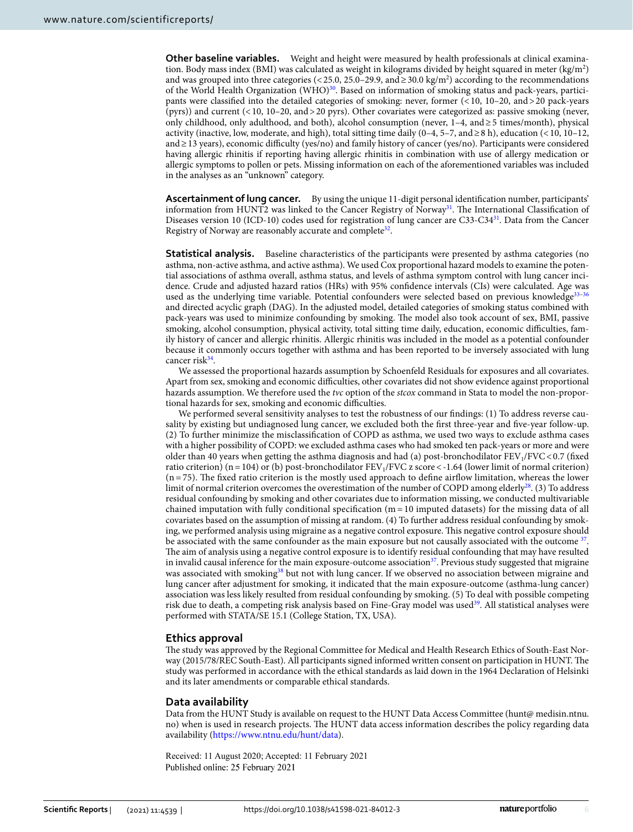**Other baseline variables.** Weight and height were measured by health professionals at clinical examination. Body mass index (BMI) was calculated as weight in kilograms divided by height squared in meter (kg/m<sup>2</sup>) and was grouped into three categories (<25.0, 25.0–29.9, and ≥30.0 kg/m<sup>2</sup>) according to the recommendations of the World Health Organization (WHO)<sup>30</sup>. Based on information of smoking status and pack-years, participants were classifed into the detailed categories of smoking: never, former (<10, 10–20, and>20 pack-years (pyrs)) and current (<10, 10–20, and>20 pyrs). Other covariates were categorized as: passive smoking (never, only childhood, only adulthood, and both), alcohol consumption (never, 1–4, and≥5 times/month), physical activity (inactive, low, moderate, and high), total sitting time daily (0–4, 5–7, and≥8 h), education (<10, 10–12, and≥13 years), economic difculty (yes/no) and family history of cancer (yes/no). Participants were considered having allergic rhinitis if reporting having allergic rhinitis in combination with use of allergy medication or allergic symptoms to pollen or pets. Missing information on each of the aforementioned variables was included in the analyses as an "unknown" category.

**Ascertainment of lung cancer.** By using the unique 11-digit personal identifcation number, participants' information from HUNT2 was linked to the Cancer Registry of Norway<sup>31</sup>. The International Classification of Diseases version 10 (ICD-10) codes used for registration of lung cancer are C33-C3[431.](#page-6-29) Data from the Cancer Registry of Norway are reasonably accurate and complete<sup>[32](#page-6-30)</sup>.

**Statistical analysis.** Baseline characteristics of the participants were presented by asthma categories (no asthma, non-active asthma, and active asthma). We used Cox proportional hazard models to examine the potential associations of asthma overall, asthma status, and levels of asthma symptom control with lung cancer incidence. Crude and adjusted hazard ratios (HRs) with 95% confdence intervals (CIs) were calculated. Age was used as the underlying time variable. Potential confounders were selected based on previous knowledge<sup>[33–](#page-6-31)[36](#page-6-32)</sup> and directed acyclic graph (DAG). In the adjusted model, detailed categories of smoking status combined with pack-years was used to minimize confounding by smoking. The model also took account of sex, BMI, passive smoking, alcohol consumption, physical activity, total sitting time daily, education, economic difficulties, family history of cancer and allergic rhinitis. Allergic rhinitis was included in the model as a potential confounder because it commonly occurs together with asthma and has been reported to be inversely associated with lung cancer risk $34$ .

We assessed the proportional hazards assumption by Schoenfeld Residuals for exposures and all covariates. Apart from sex, smoking and economic difficulties, other covariates did not show evidence against proportional hazards assumption. We therefore used the *tvc* option of the *stcox* command in Stata to model the non-proportional hazards for sex, smoking and economic difficulties.

We performed several sensitivity analyses to test the robustness of our fndings: (1) To address reverse causality by existing but undiagnosed lung cancer, we excluded both the frst three-year and fve-year follow-up. (2) To further minimize the misclassifcation of COPD as asthma, we used two ways to exclude asthma cases with a higher possibility of COPD: we excluded asthma cases who had smoked ten pack-years or more and were older than 40 years when getting the asthma diagnosis and had (a) post-bronchodilator  $FEV<sub>1</sub>/FVC<0.7$  (fixed ratio criterion) (n = 104) or (b) post-bronchodilator  $FEV_1/FVC$  z score < -1.64 (lower limit of normal criterion)  $(n = 75)$ . The fixed ratio criterion is the mostly used approach to define airflow limitation, whereas the lower limit of normal criterion overcomes the overestimation of the number of COPD among elderly<sup>28</sup>. (3) To address residual confounding by smoking and other covariates due to information missing, we conducted multivariable chained imputation with fully conditional specification  $(m = 10 \text{ imputed datasets})$  for the missing data of all covariates based on the assumption of missing at random. (4) To further address residual confounding by smoking, we performed analysis using migraine as a negative control exposure. This negative control exposure should be associated with the same confounder as the main exposure but not causally associated with the outcome <sup>37</sup>. The aim of analysis using a negative control exposure is to identify residual confounding that may have resulted in invalid causal inference for the main exposure-outcome association<sup>37</sup>. Previous study suggested that migraine was associated with smoking<sup>38</sup> but not with lung cancer. If we observed no association between migraine and lung cancer afer adjustment for smoking, it indicated that the main exposure-outcome (asthma-lung cancer) association was less likely resulted from residual confounding by smoking. (5) To deal with possible competing risk due to death, a competing risk analysis based on Fine-Gray model was used<sup>39</sup>. All statistical analyses were performed with STATA/SE 15.1 (College Station, TX, USA).

### **Ethics approval**

The study was approved by the Regional Committee for Medical and Health Research Ethics of South-East Norway (2015/78/REC South-East). All participants signed informed written consent on participation in HUNT. The study was performed in accordance with the ethical standards as laid down in the 1964 Declaration of Helsinki and its later amendments or comparable ethical standards.

#### **Data availability**

Data from the HUNT Study is available on request to the HUNT Data Access Committee (hunt@ medisin.ntnu. no) when is used in research projects. The HUNT data access information describes the policy regarding data availability [\(https://www.ntnu.edu/hunt/data](https://www.ntnu.edu/hunt/data)).

Received: 11 August 2020; Accepted: 11 February 2021Published online: 25 February 2021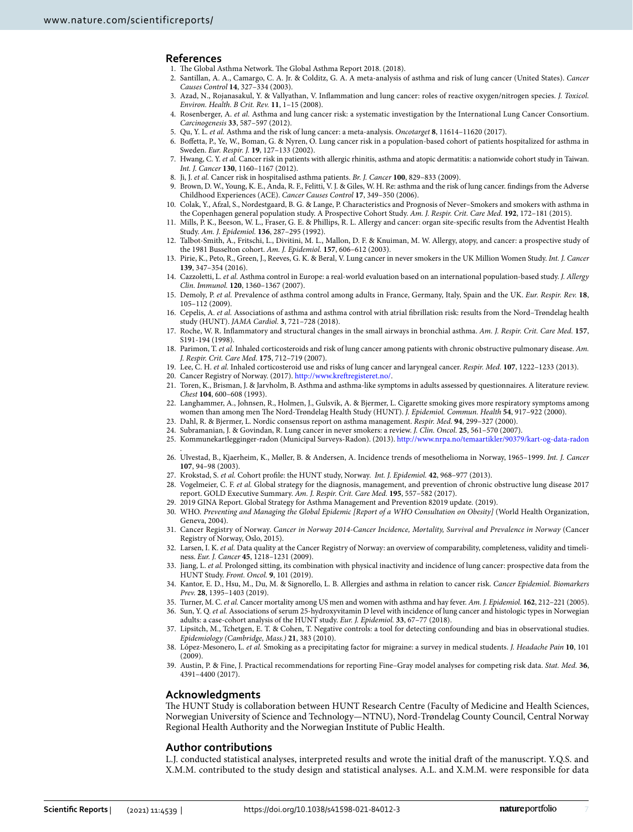#### **References**

- <span id="page-6-0"></span>1. The Global Asthma Network. The Global Asthma Report 2018. (2018).
- <span id="page-6-1"></span>2. Santillan, A. A., Camargo, C. A. Jr. & Colditz, G. A. A meta-analysis of asthma and risk of lung cancer (United States). *Cancer Causes Control* **14**, 327–334 (2003).
- <span id="page-6-2"></span>3. Azad, N., Rojanasakul, Y. & Vallyathan, V. Infammation and lung cancer: roles of reactive oxygen/nitrogen species. *J. Toxicol. Environ. Health. B Crit. Rev.* **11**, 1–15 (2008).
- <span id="page-6-3"></span>4. Rosenberger, A. *et al.* Asthma and lung cancer risk: a systematic investigation by the International Lung Cancer Consortium. *Carcinogenesis* **33**, 587–597 (2012).
- <span id="page-6-4"></span>5. Qu, Y. L. *et al.* Asthma and the risk of lung cancer: a meta-analysis. *Oncotarget* **8**, 11614–11620 (2017).
- <span id="page-6-5"></span>6. Bofetta, P., Ye, W., Boman, G. & Nyren, O. Lung cancer risk in a population-based cohort of patients hospitalized for asthma in Sweden. *Eur. Respir. J.* **19**, 127–133 (2002).
- 7. Hwang, C. Y. *et al.* Cancer risk in patients with allergic rhinitis, asthma and atopic dermatitis: a nationwide cohort study in Taiwan. *Int. J. Cancer* **130**, 1160–1167 (2012).
- <span id="page-6-6"></span>8. Ji, J. *et al.* Cancer risk in hospitalised asthma patients. *Br. J. Cancer* **100**, 829–833 (2009).
- <span id="page-6-7"></span>9. Brown, D. W., Young, K. E., Anda, R. F., Felitti, V. J. & Giles, W. H. Re: asthma and the risk of lung cancer. fndings from the Adverse Childhood Experiences (ACE). *Cancer Causes Control* **17**, 349–350 (2006).
- <span id="page-6-8"></span>10. Colak, Y., Afzal, S., Nordestgaard, B. G. & Lange, P. Characteristics and Prognosis of Never–Smokers and smokers with asthma in the Copenhagen general population study. A Prospective Cohort Study. *Am. J. Respir. Crit. Care Med.* **192**, 172–181 (2015).
- <span id="page-6-9"></span>11. Mills, P. K., Beeson, W. L., Fraser, G. E. & Phillips, R. L. Allergy and cancer: organ site-specifc results from the Adventist Health Study. *Am. J. Epidemiol.* **136**, 287–295 (1992).
- <span id="page-6-10"></span>12. Talbot-Smith, A., Fritschi, L., Divitini, M. L., Mallon, D. F. & Knuiman, M. W. Allergy, atopy, and cancer: a prospective study of the 1981 Busselton cohort. *Am. J. Epidemiol.* **157**, 606–612 (2003).
- <span id="page-6-11"></span>13. Pirie, K., Peto, R., Green, J., Reeves, G. K. & Beral, V. Lung cancer in never smokers in the UK Million Women Study. *Int. J. Cancer* **139**, 347–354 (2016).
- <span id="page-6-12"></span>14. Cazzoletti, L. *et al.* Asthma control in Europe: a real-world evaluation based on an international population-based study. *J. Allergy Clin. Immunol.* **120**, 1360–1367 (2007).
- <span id="page-6-13"></span>15. Demoly, P. *et al.* Prevalence of asthma control among adults in France, Germany, Italy, Spain and the UK. *Eur. Respir. Rev.* **18**, 105–112 (2009).
- <span id="page-6-14"></span>16. Cepelis, A. *et al.* Associations of asthma and asthma control with atrial fbrillation risk: results from the Nord–Trøndelag health study (HUNT). *JAMA Cardiol.* **3**, 721–728 (2018).
- <span id="page-6-15"></span>17. Roche, W. R. Infammatory and structural changes in the small airways in bronchial asthma. *Am. J. Respir. Crit. Care Med.* **157**, S191-194 (1998).
- <span id="page-6-16"></span>18. Parimon, T. *et al.* Inhaled corticosteroids and risk of lung cancer among patients with chronic obstructive pulmonary disease. *Am. J. Respir. Crit. Care Med.* **175**, 712–719 (2007).
- <span id="page-6-17"></span>19. Lee, C. H. *et al.* Inhaled corticosteroid use and risks of lung cancer and laryngeal cancer. *Respir. Med.* **107**, 1222–1233 (2013).
- <span id="page-6-18"></span>20. Cancer Registry of Norway. (2017). [http://www.krefregisteret.no/.](http://www.kreftregisteret.no/)
- <span id="page-6-19"></span>21. Toren, K., Brisman, J. & Jarvholm, B. Asthma and asthma-like symptoms in adults assessed by questionnaires. A literature review. *Chest* **104**, 600–608 (1993).
- <span id="page-6-20"></span>22. Langhammer, A., Johnsen, R., Holmen, J., Gulsvik, A. & Bjermer, L. Cigarette smoking gives more respiratory symptoms among women than among men Te Nord-Trøndelag Health Study (HUNT). *J. Epidemiol. Commun. Health* **54**, 917–922 (2000).
- <span id="page-6-21"></span>23. Dahl, R. & Bjermer, L. Nordic consensus report on asthma management. *Respir. Med.* **94**, 299–327 (2000).
- <span id="page-6-22"></span>24. Subramanian, J. & Govindan, R. Lung cancer in never smokers: a review. *J. Clin. Oncol.* **25**, 561–570 (2007).
- <span id="page-6-23"></span>25. Kommunekartlegginger-radon (Municipal Surveys-Radon). (2013).<http://www.nrpa.no/temaartikler/90379/kart-og-data-radon>
- <span id="page-6-24"></span>. 26. Ulvestad, B., Kjaerheim, K., Møller, B. & Andersen, A. Incidence trends of mesothelioma in Norway, 1965–1999. *Int. J. Cancer* **107**, 94–98 (2003).
- <span id="page-6-25"></span>27. Krokstad, S. *et al.* Cohort profle: the HUNT study, Norway. *Int. J. Epidemiol.* **42**, 968–977 (2013).
- <span id="page-6-26"></span>28. Vogelmeier, C. F. *et al.* Global strategy for the diagnosis, management, and prevention of chronic obstructive lung disease 2017 report. GOLD Executive Summary. *Am. J. Respir. Crit. Care Med.* **195**, 557–582 (2017).
- <span id="page-6-27"></span>29. 2019 GINA Report. Global Strategy for Asthma Management and Prevention 82019 update. (2019).
- <span id="page-6-28"></span>30. WHO. *Preventing and Managing the Global Epidemic [Report of a WHO Consultation on Obesity]* (World Health Organization, Geneva, 2004).
- <span id="page-6-29"></span>31. Cancer Registry of Norway. *Cancer in Norway 2014-Cancer Incidence, Mortality, Survival and Prevalence in Norway* (Cancer Registry of Norway, Oslo, 2015).
- <span id="page-6-30"></span>32. Larsen, I. K. *et al.* Data quality at the Cancer Registry of Norway: an overview of comparability, completeness, validity and timeliness. *Eur. J. Cancer* **45**, 1218–1231 (2009).
- <span id="page-6-31"></span>33. Jiang, L. *et al.* Prolonged sitting, its combination with physical inactivity and incidence of lung cancer: prospective data from the HUNT Study. *Front. Oncol.* **9**, 101 (2019).
- <span id="page-6-33"></span>34. Kantor, E. D., Hsu, M., Du, M. & Signorello, L. B. Allergies and asthma in relation to cancer risk. *Cancer Epidemiol. Biomarkers Prev.* **28**, 1395–1403 (2019).
- 35. Turner, M. C. *et al.* Cancer mortality among US men and women with asthma and hay fever. *Am. J. Epidemiol.* **162**, 212–221 (2005).
- <span id="page-6-32"></span>36. Sun, Y. Q. *et al.* Associations of serum 25-hydroxyvitamin D level with incidence of lung cancer and histologic types in Norwegian adults: a case-cohort analysis of the HUNT study. *Eur. J. Epidemiol.* **33**, 67–77 (2018).
- <span id="page-6-34"></span>37. Lipsitch, M., Tchetgen, E. T. & Cohen, T. Negative controls: a tool for detecting confounding and bias in observational studies. *Epidemiology (Cambridge, Mass.)* **21**, 383 (2010).
- <span id="page-6-35"></span>38. López-Mesonero, L. *et al.* Smoking as a precipitating factor for migraine: a survey in medical students. *J. Headache Pain* **10**, 101 (2009).
- <span id="page-6-36"></span>39. Austin, P. & Fine, J. Practical recommendations for reporting Fine–Gray model analyses for competing risk data. *Stat. Med.* **36**, 4391–4400 (2017).

#### **Acknowledgments**

The HUNT Study is collaboration between HUNT Research Centre (Faculty of Medicine and Health Sciences, Norwegian University of Science and Technology—NTNU), Nord-Trøndelag County Council, Central Norway Regional Health Authority and the Norwegian Institute of Public Health.

#### **Author contributions**

L.J. conducted statistical analyses, interpreted results and wrote the initial draf of the manuscript. Y.Q.S. and X.M.M. contributed to the study design and statistical analyses. A.L. and X.M.M. were responsible for data

7